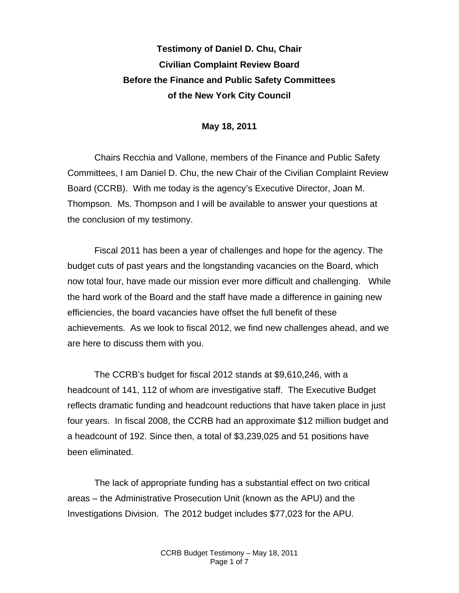## **Testimony of Daniel D. Chu, Chair Civilian Complaint Review Board Before the Finance and Public Safety Committees of the New York City Council**

## **May 18, 2011**

Chairs Recchia and Vallone, members of the Finance and Public Safety Committees, I am Daniel D. Chu, the new Chair of the Civilian Complaint Review Board (CCRB). With me today is the agency's Executive Director, Joan M. Thompson. Ms. Thompson and I will be available to answer your questions at the conclusion of my testimony.

Fiscal 2011 has been a year of challenges and hope for the agency. The budget cuts of past years and the longstanding vacancies on the Board, which now total four, have made our mission ever more difficult and challenging. While the hard work of the Board and the staff have made a difference in gaining new efficiencies, the board vacancies have offset the full benefit of these achievements. As we look to fiscal 2012, we find new challenges ahead, and we are here to discuss them with you.

The CCRB's budget for fiscal 2012 stands at \$9,610,246, with a headcount of 141, 112 of whom are investigative staff. The Executive Budget reflects dramatic funding and headcount reductions that have taken place in just four years. In fiscal 2008, the CCRB had an approximate \$12 million budget and a headcount of 192. Since then, a total of \$3,239,025 and 51 positions have been eliminated.

The lack of appropriate funding has a substantial effect on two critical areas – the Administrative Prosecution Unit (known as the APU) and the Investigations Division. The 2012 budget includes \$77,023 for the APU.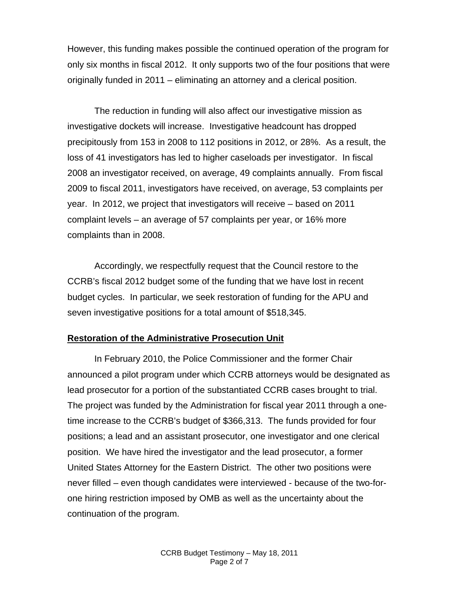However, this funding makes possible the continued operation of the program for only six months in fiscal 2012. It only supports two of the four positions that were originally funded in 2011 – eliminating an attorney and a clerical position.

The reduction in funding will also affect our investigative mission as investigative dockets will increase. Investigative headcount has dropped precipitously from 153 in 2008 to 112 positions in 2012, or 28%. As a result, the loss of 41 investigators has led to higher caseloads per investigator. In fiscal 2008 an investigator received, on average, 49 complaints annually. From fiscal 2009 to fiscal 2011, investigators have received, on average, 53 complaints per year. In 2012, we project that investigators will receive – based on 2011 complaint levels – an average of 57 complaints per year, or 16% more complaints than in 2008.

Accordingly, we respectfully request that the Council restore to the CCRB's fiscal 2012 budget some of the funding that we have lost in recent budget cycles. In particular, we seek restoration of funding for the APU and seven investigative positions for a total amount of \$518,345.

## **Restoration of the Administrative Prosecution Unit**

In February 2010, the Police Commissioner and the former Chair announced a pilot program under which CCRB attorneys would be designated as lead prosecutor for a portion of the substantiated CCRB cases brought to trial. The project was funded by the Administration for fiscal year 2011 through a onetime increase to the CCRB's budget of \$366,313. The funds provided for four positions; a lead and an assistant prosecutor, one investigator and one clerical position. We have hired the investigator and the lead prosecutor, a former United States Attorney for the Eastern District. The other two positions were never filled – even though candidates were interviewed - because of the two-forone hiring restriction imposed by OMB as well as the uncertainty about the continuation of the program.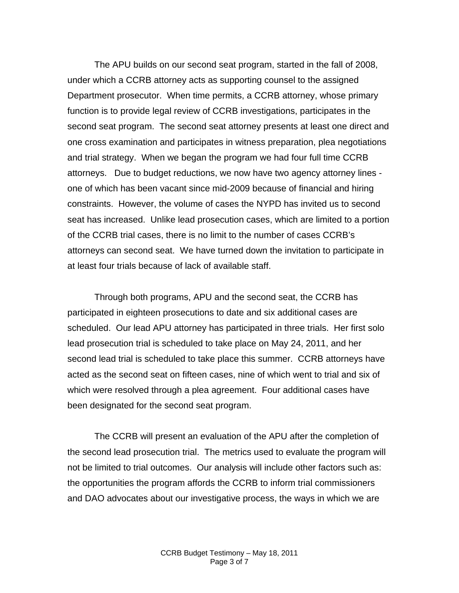The APU builds on our second seat program, started in the fall of 2008, under which a CCRB attorney acts as supporting counsel to the assigned Department prosecutor. When time permits, a CCRB attorney, whose primary function is to provide legal review of CCRB investigations, participates in the second seat program. The second seat attorney presents at least one direct and one cross examination and participates in witness preparation, plea negotiations and trial strategy. When we began the program we had four full time CCRB attorneys. Due to budget reductions, we now have two agency attorney lines one of which has been vacant since mid-2009 because of financial and hiring constraints. However, the volume of cases the NYPD has invited us to second seat has increased. Unlike lead prosecution cases, which are limited to a portion of the CCRB trial cases, there is no limit to the number of cases CCRB's attorneys can second seat. We have turned down the invitation to participate in at least four trials because of lack of available staff.

Through both programs, APU and the second seat, the CCRB has participated in eighteen prosecutions to date and six additional cases are scheduled. Our lead APU attorney has participated in three trials. Her first solo lead prosecution trial is scheduled to take place on May 24, 2011, and her second lead trial is scheduled to take place this summer. CCRB attorneys have acted as the second seat on fifteen cases, nine of which went to trial and six of which were resolved through a plea agreement. Four additional cases have been designated for the second seat program.

The CCRB will present an evaluation of the APU after the completion of the second lead prosecution trial. The metrics used to evaluate the program will not be limited to trial outcomes. Our analysis will include other factors such as: the opportunities the program affords the CCRB to inform trial commissioners and DAO advocates about our investigative process, the ways in which we are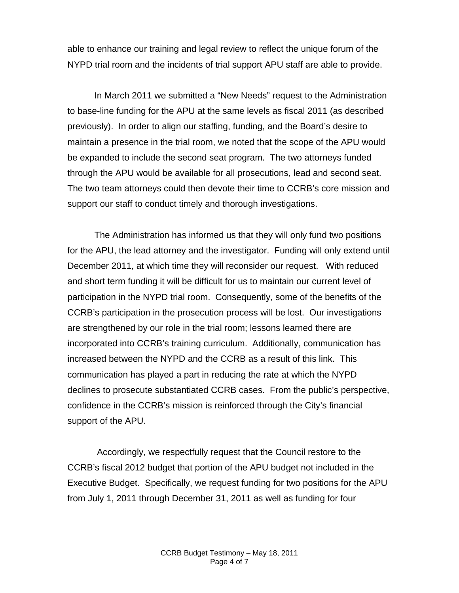able to enhance our training and legal review to reflect the unique forum of the NYPD trial room and the incidents of trial support APU staff are able to provide.

In March 2011 we submitted a "New Needs" request to the Administration to base-line funding for the APU at the same levels as fiscal 2011 (as described previously). In order to align our staffing, funding, and the Board's desire to maintain a presence in the trial room, we noted that the scope of the APU would be expanded to include the second seat program. The two attorneys funded through the APU would be available for all prosecutions, lead and second seat. The two team attorneys could then devote their time to CCRB's core mission and support our staff to conduct timely and thorough investigations.

The Administration has informed us that they will only fund two positions for the APU, the lead attorney and the investigator. Funding will only extend until December 2011, at which time they will reconsider our request. With reduced and short term funding it will be difficult for us to maintain our current level of participation in the NYPD trial room. Consequently, some of the benefits of the CCRB's participation in the prosecution process will be lost. Our investigations are strengthened by our role in the trial room; lessons learned there are incorporated into CCRB's training curriculum. Additionally, communication has increased between the NYPD and the CCRB as a result of this link. This communication has played a part in reducing the rate at which the NYPD declines to prosecute substantiated CCRB cases. From the public's perspective, confidence in the CCRB's mission is reinforced through the City's financial support of the APU.

 Accordingly, we respectfully request that the Council restore to the CCRB's fiscal 2012 budget that portion of the APU budget not included in the Executive Budget. Specifically, we request funding for two positions for the APU from July 1, 2011 through December 31, 2011 as well as funding for four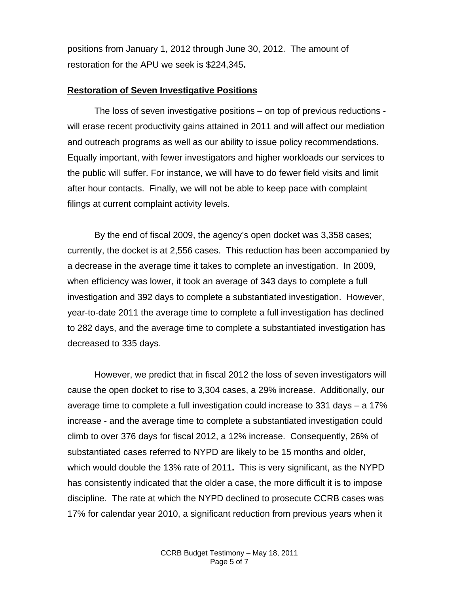positions from January 1, 2012 through June 30, 2012. The amount of restoration for the APU we seek is \$224,345**.** 

## **Restoration of Seven Investigative Positions**

The loss of seven investigative positions – on top of previous reductions will erase recent productivity gains attained in 2011 and will affect our mediation and outreach programs as well as our ability to issue policy recommendations. Equally important, with fewer investigators and higher workloads our services to the public will suffer. For instance, we will have to do fewer field visits and limit after hour contacts. Finally, we will not be able to keep pace with complaint filings at current complaint activity levels.

By the end of fiscal 2009, the agency's open docket was 3,358 cases; currently, the docket is at 2,556 cases. This reduction has been accompanied by a decrease in the average time it takes to complete an investigation. In 2009, when efficiency was lower, it took an average of 343 days to complete a full investigation and 392 days to complete a substantiated investigation. However, year-to-date 2011 the average time to complete a full investigation has declined to 282 days, and the average time to complete a substantiated investigation has decreased to 335 days.

However, we predict that in fiscal 2012 the loss of seven investigators will cause the open docket to rise to 3,304 cases, a 29% increase. Additionally, our average time to complete a full investigation could increase to 331 days – a 17% increase - and the average time to complete a substantiated investigation could climb to over 376 days for fiscal 2012, a 12% increase. Consequently, 26% of substantiated cases referred to NYPD are likely to be 15 months and older, which would double the 13% rate of 2011**.** This is very significant, as the NYPD has consistently indicated that the older a case, the more difficult it is to impose discipline. The rate at which the NYPD declined to prosecute CCRB cases was 17% for calendar year 2010, a significant reduction from previous years when it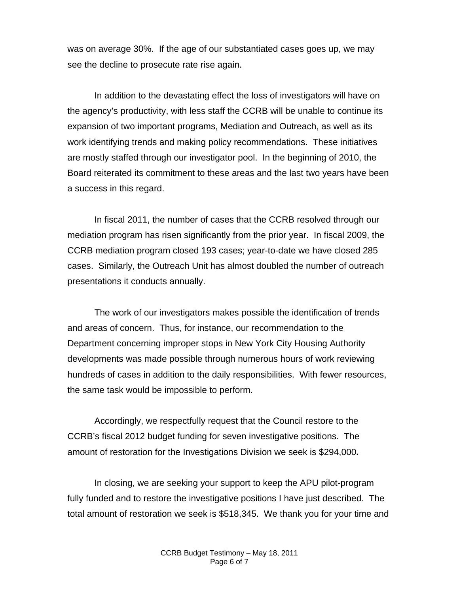was on average 30%. If the age of our substantiated cases goes up, we may see the decline to prosecute rate rise again.

In addition to the devastating effect the loss of investigators will have on the agency's productivity, with less staff the CCRB will be unable to continue its expansion of two important programs, Mediation and Outreach, as well as its work identifying trends and making policy recommendations. These initiatives are mostly staffed through our investigator pool. In the beginning of 2010, the Board reiterated its commitment to these areas and the last two years have been a success in this regard.

In fiscal 2011, the number of cases that the CCRB resolved through our mediation program has risen significantly from the prior year. In fiscal 2009, the CCRB mediation program closed 193 cases; year-to-date we have closed 285 cases. Similarly, the Outreach Unit has almost doubled the number of outreach presentations it conducts annually.

The work of our investigators makes possible the identification of trends and areas of concern. Thus, for instance, our recommendation to the Department concerning improper stops in New York City Housing Authority developments was made possible through numerous hours of work reviewing hundreds of cases in addition to the daily responsibilities. With fewer resources, the same task would be impossible to perform.

Accordingly, we respectfully request that the Council restore to the CCRB's fiscal 2012 budget funding for seven investigative positions. The amount of restoration for the Investigations Division we seek is \$294,000**.**

In closing, we are seeking your support to keep the APU pilot-program fully funded and to restore the investigative positions I have just described. The total amount of restoration we seek is \$518,345. We thank you for your time and